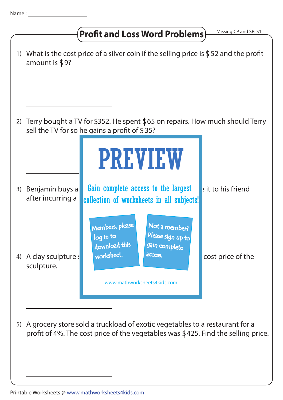